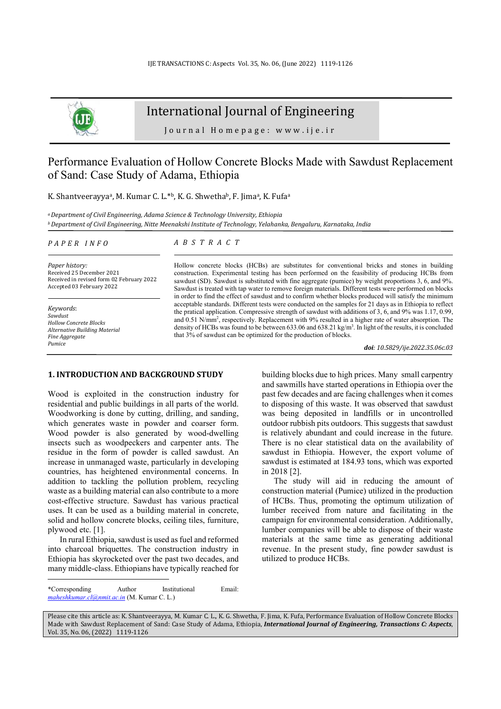

# International Journal of Engineering

Journal Homepage: www.ije.ir

# Performance Evaluation of Hollow Concrete Blocks Made with Sawdust Replacement of Sand: Case Study of Adama, Ethiopia

K. Shantveerayya<sup>a</sup>, M. Kumar C. L.\*b, K. G. Shwethab, F. Jima<sup>a</sup>, K. Fufa<sup>a</sup>

*<sup>a</sup>Department of Civil Engineering, Adama Science & Technology University, Ethiopia <sup>b</sup>Department of Civil Engineering, Nitte Meenakshi Institute of Technology, Yelahanka, Bengaluru, Karnataka, India* 

#### *P A P E R I N F O*

*Paper history:*  Received 25 December 2021 Received in revised form 02 February 2022 Accepted 03 February 2022

*Keywords*: *Sawdust Hollow Concrete Blocks Alternative Building Material Fine Aggregate Pumice*

### *A B S T R A C T*

Hollow concrete blocks (HCBs) are substitutes for conventional bricks and stones in building construction. Experimental testing has been performed on the feasibility of producing HCBs from sawdust (SD). Sawdust is substituted with fine aggregate (pumice) by weight proportions 3, 6, and 9%. Sawdust is treated with tap water to remove foreign materials. Different tests were performed on blocks in order to find the effect of sawdust and to confirm whether blocks produced will satisfy the minimum acceptable standards. Different tests were conducted on the samples for 21 days as in Ethiopia to reflect the pratical application. Compressive strength of sawdust with additions of 3, 6, and 9% was 1.17, 0.99, and 0.51 N/mm<sup>2</sup>, respectively. Replacement with 9% resulted in a higher rate of water absorption. The density of HCBs was found to be between 633.06 and 638.21 kg/m<sup>3</sup>. In light of the results, it is concluded that 3% of sawdust can be optimized for the production of blocks.

*doi: 10.5829/ije.2022.35.06c.03*

# **1. INTRODUCTION AND BACKGROUND STUDY <sup>1</sup>**

Wood is exploited in the construction industry for residential and public buildings in all parts of the world. Woodworking is done by cutting, drilling, and sanding, which generates waste in powder and coarser form. Wood powder is also generated by wood-dwelling insects such as woodpeckers and carpenter ants. The residue in the form of powder is called sawdust. An increase in unmanaged waste, particularly in developing countries, has heightened environmental concerns. In addition to tackling the pollution problem, recycling waste as a building material can also contribute to a more cost-effective structure. Sawdust has various practical uses. It can be used as a building material in concrete, solid and hollow concrete blocks, ceiling tiles, furniture, plywood etc. [1].

In rural Ethiopia, sawdust is used as fuel and reformed into charcoal briquettes. The construction industry in Ethiopia has skyrocketed over the past two decades, and many middle-class. Ethiopians have typically reached for building blocks due to high prices. Many small carpentry and sawmills have started operations in Ethiopia over the past few decades and are facing challenges when it comes to disposing of this waste. It was observed that sawdust was being deposited in landfills or in uncontrolled outdoor rubbish pits outdoors. This suggests that sawdust is relatively abundant and could increase in the future. There is no clear statistical data on the availability of sawdust in Ethiopia. However, the export volume of sawdust is estimated at 184.93 tons, which was exported in 2018 [2].

The study will aid in reducing the amount of construction material (Pumice) utilized in the production of HCBs. Thus, promoting the optimum utilization of lumber received from nature and facilitating in the campaign for environmental consideration. Additionally, lumber companies will be able to dispose of their waste materials at the same time as generating additional revenue. In the present study, fine powder sawdust is utilized to produce HCBs.

<sup>\*</sup>Corresponding Author Institutional Email: *maheshkumar.cl@nmit.ac.in* (M. Kumar C. L.)

Please cite this article as: K. Shantveerayya, M. Kumar C. L., K. G. Shwetha, F. Jima, K. Fufa, Performance Evaluation of Hollow Concrete Blocks Made with Sawdust Replacement of Sand: Case Study of Adama, Ethiopia, *International Journal of Engineering, Transactions C: Aspects*, Vol. 35, No. 06, (2022) 1119-1126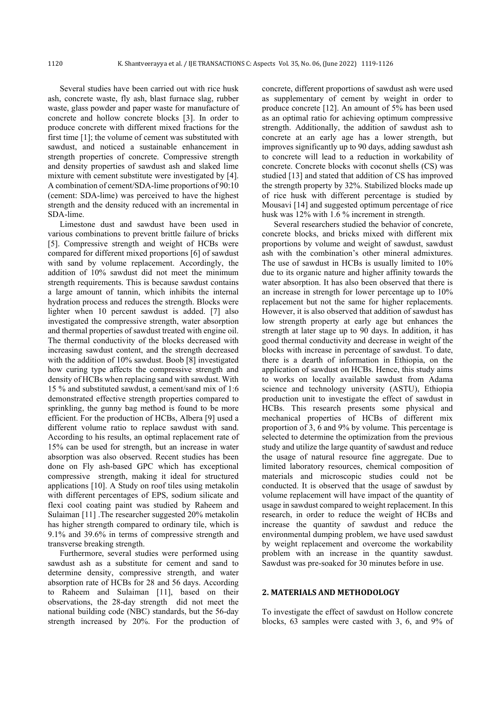Several studies have been carried out with rice husk ash, concrete waste, fly ash, blast furnace slag, rubber waste, glass powder and paper waste for manufacture of concrete and hollow concrete blocks [3]. In order to produce concrete with different mixed fractions for the first time [1]; the volume of cement was substituted with sawdust, and noticed a sustainable enhancement in strength properties of concrete. Compressive strength and density properties of sawdust ash and slaked lime mixture with cement substitute were investigated by [4]. A combination of cement/SDA-lime proportions of 90:10 (cement: SDA-lime) was perceived to have the highest strength and the density reduced with an incremental in SDA-lime.

Limestone dust and sawdust have been used in various combinations to prevent brittle failure of bricks [5]. Compressive strength and weight of HCBs were compared for different mixed proportions [6] of sawdust with sand by volume replacement. Accordingly, the addition of 10% sawdust did not meet the minimum strength requirements. This is because sawdust contains a large amount of tannin, which inhibits the internal hydration process and reduces the strength. Blocks were lighter when 10 percent sawdust is added. [7] also investigated the compressive strength, water absorption and thermal properties of sawdust treated with engine oil. The thermal conductivity of the blocks decreased with increasing sawdust content, and the strength decreased with the addition of 10% sawdust. Boob [8] investigated how curing type affects the compressive strength and density of HCBs when replacing sand with sawdust. With 15 % and substituted sawdust, a cement/sand mix of 1:6 demonstrated effective strength properties compared to sprinkling, the gunny bag method is found to be more efficient. For the production of HCBs, Albera [9] used a different volume ratio to replace sawdust with sand. According to his results, an optimal replacement rate of 15% can be used for strength, but an increase in water absorption was also observed. Recent studies has been done on Fly ash-based GPC which has exceptional compressive strength, making it ideal for structured applications [10]. A Study on roof tiles using metakolin with different percentages of EPS, sodium silicate and flexi cool coating paint was studied by Raheem and Sulaiman [11] .The researcher suggested 20% metakolin has higher strength compared to ordinary tile, which is 9.1% and 39.6% in terms of compressive strength and transverse breaking strength.

Furthermore, several studies were performed using sawdust ash as a substitute for cement and sand to determine density, compressive strength, and water absorption rate of HCBs for 28 and 56 days. According to Raheem and Sulaiman [11], based on their observations, the 28-day strength did not meet the national building code (NBC) standards, but the 56-day strength increased by 20%. For the production of concrete, different proportions of sawdust ash were used as supplementary of cement by weight in order to produce concrete [12]. An amount of 5% has been used as an optimal ratio for achieving optimum compressive strength. Additionally, the addition of sawdust ash to concrete at an early age has a lower strength, but improves significantly up to 90 days, adding sawdust ash to concrete will lead to a reduction in workability of concrete. Concrete blocks with coconut shells (CS) was studied [13] and stated that addition of CS has improved the strength property by 32%. Stabilized blocks made up of rice husk with different percentage is studied by Mousavi [14] and suggested optimum percentage of rice husk was 12% with 1.6 % increment in strength.

Several researchers studied the behavior of concrete, concrete blocks, and bricks mixed with different mix proportions by volume and weight of sawdust, sawdust ash with the combination's other mineral admixtures. The use of sawdust in HCBs is usually limited to 10% due to its organic nature and higher affinity towards the water absorption. It has also been observed that there is an increase in strength for lower percentage up to 10% replacement but not the same for higher replacements. However, it is also observed that addition of sawdust has low strength property at early age but enhances the strength at later stage up to 90 days. In addition, it has good thermal conductivity and decrease in weight of the blocks with increase in percentage of sawdust. To date, there is a dearth of information in Ethiopia, on the application of sawdust on HCBs. Hence, this study aims to works on locally available sawdust from Adama science and technology university (ASTU), Ethiopia production unit to investigate the effect of sawdust in HCBs. This research presents some physical and mechanical properties of HCBs of different mix proportion of 3, 6 and 9% by volume. This percentage is selected to determine the optimization from the previous study and utilize the large quantity of sawdust and reduce the usage of natural resource fine aggregate. Due to limited laboratory resources, chemical composition of materials and microscopic studies could not be conducted. It is observed that the usage of sawdust by volume replacement will have impact of the quantity of usage in sawdust compared to weight replacement. In this research, in order to reduce the weight of HCBs and increase the quantity of sawdust and reduce the environmental dumping problem, we have used sawdust by weight replacement and overcome the workability problem with an increase in the quantity sawdust. Sawdust was pre-soaked for 30 minutes before in use.

# **2. MATERIALS AND METHODOLOGY**

To investigate the effect of sawdust on Hollow concrete blocks, 63 samples were casted with 3, 6, and 9% of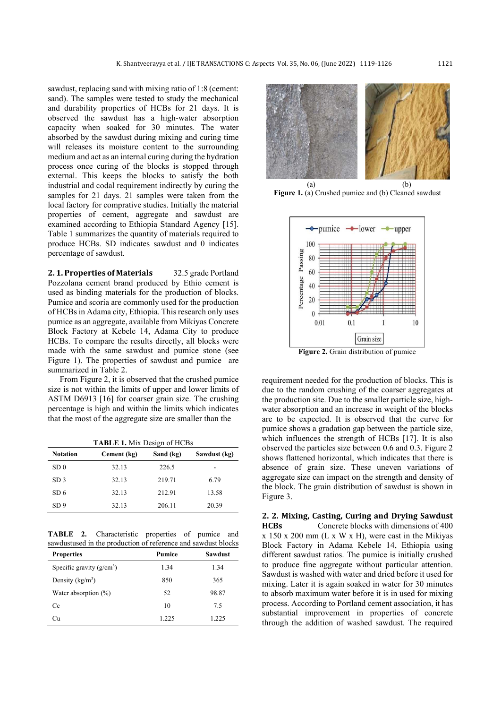sawdust, replacing sand with mixing ratio of 1:8 (cement: sand). The samples were tested to study the mechanical and durability properties of HCBs for 21 days. It is observed the sawdust has a high-water absorption capacity when soaked for 30 minutes. The water absorbed by the sawdust during mixing and curing time will releases its moisture content to the surrounding medium and act as an internal curing during the hydration process once curing of the blocks is stopped through external. This keeps the blocks to satisfy the both industrial and codal requirement indirectly by curing the samples for 21 days. 21 samples were taken from the local factory for comprative studies. Initially the material properties of cement, aggregate and sawdust are examined according to Ethiopia Standard Agency [15]. Table 1 summarizes the quantity of materials required to produce HCBs. SD indicates sawdust and 0 indicates percentage of sawdust.

**2. 1. Properties of Materials** 32.5 grade Portland Pozzolana cement brand produced by Ethio cement is used as binding materials for the production of blocks. Pumice and scoria are commonly used for the production of HCBs in Adama city, Ethiopia. This research only uses pumice as an aggregate, available from Mikiyas Concrete Block Factory at Kebele 14, Adama City to produce HCBs. To compare the results directly, all blocks were made with the same sawdust and pumice stone (see Figure 1). The properties of sawdust and pumice are summarized in Table 2.

From Figure 2, it is observed that the crushed pumice size is not within the limits of upper and lower limits of ASTM D6913 [16] for coarser grain size. The crushing percentage is high and within the limits which indicates that the most of the aggregate size are smaller than the

**TABLE 1.** Mix Design of HCBs

| <b>Notation</b> | Cement (kg) | Sand (kg) | Sawdust (kg) |  |
|-----------------|-------------|-----------|--------------|--|
| SD <sub>0</sub> | 32.13       | 226.5     |              |  |
| SD <sub>3</sub> | 32.13       | 219.71    | 6.79         |  |
| SD6             | 32.13       | 212.91    | 13.58        |  |
| SD <sub>9</sub> | 32.13       | 206.11    | 20.39        |  |

**TABLE 2.** Characteristic properties of pumice and sawdustused in the production of reference and sawdust blocks

| <b>Properties</b>           | <b>Pumice</b> | <b>Sawdust</b> |  |
|-----------------------------|---------------|----------------|--|
| Specific gravity $(g/cm^3)$ | 1.34          | 1.34           |  |
| Density $(kg/m^3)$          | 850           | 365            |  |
| Water absorption (%)        | 52            | 98.87          |  |
| Cc                          | 10            | 7.5            |  |
| Сu                          | 1.225         | 1.225          |  |



Figure 1. (a) Crushed pumice and (b) Cleaned sawdust



**Figure 2.** Grain distribution of pumice

requirement needed for the production of blocks. This is due to the random crushing of the coarser aggregates at the production site. Due to the smaller particle size, highwater absorption and an increase in weight of the blocks are to be expected. It is observed that the curve for pumice shows a gradation gap between the particle size, which influences the strength of HCBs [17]. It is also observed the particles size between 0.6 and 0.3. Figure 2 shows flattened horizontal, which indicates that there is absence of grain size. These uneven variations of aggregate size can impact on the strength and density of the block. The grain distribution of sawdust is shown in Figure 3.

**2. 2. Mixing, Casting, Curing and Drying Sawdust HCBs** Concrete blocks with dimensions of 400 x 150 x 200 mm (L x W x H), were cast in the Mikiyas Block Factory in Adama Kebele 14, Ethiopia using different sawdust ratios. The pumice is initially crushed to produce fine aggregate without particular attention. Sawdust is washed with water and dried before it used for mixing. Later it is again soaked in water for 30 minutes to absorb maximum water before it is in used for mixing process. According to Portland cement association, it has substantial improvement in properties of concrete through the addition of washed sawdust. The required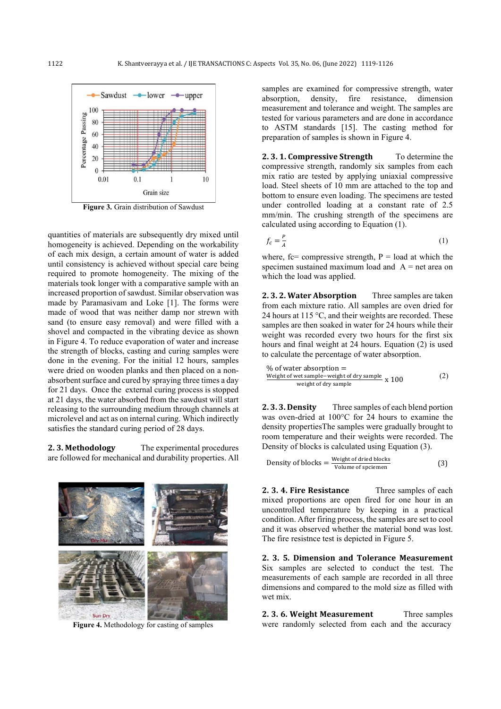

**Figure 3.** Grain distribution of Sawdust

quantities of materials are subsequently dry mixed until homogeneity is achieved. Depending on the workability of each mix design, a certain amount of water is added until consistency is achieved without special care being required to promote homogeneity. The mixing of the materials took longer with a comparative sample with an increased proportion of sawdust. Similar observation was made by Paramasivam and Loke [1]. The forms were made of wood that was neither damp nor strewn with sand (to ensure easy removal) and were filled with a shovel and compacted in the vibrating device as shown in Figure 4. To reduce evaporation of water and increase the strength of blocks, casting and curing samples were done in the evening. For the initial 12 hours, samples were dried on wooden planks and then placed on a nonabsorbent surface and cured by spraying three times a day for 21 days. Once the external curing process is stopped at 21 days, the water absorbed from the sawdust will start releasing to the surrounding medium through channels at microlevel and act as on internal curing. Which indirectly satisfies the standard curing period of 28 days.

**2. 3. Methodology** The experimental procedures are followed for mechanical and durability properties. All



**Figure 4.** Methodology for casting of samples

samples are examined for compressive strength, water absorption, density, fire resistance, dimension measurement and tolerance and weight. The samples are tested for various parameters and are done in accordance to ASTM standards [15]. The casting method for preparation of samples is shown in Figure 4.

**2. 3. 1. Compressive Strength** To determine the compressive strength, randomly six samples from each mix ratio are tested by applying uniaxial compressive load. Steel sheets of 10 mm are attached to the top and bottom to ensure even loading. The specimens are tested under controlled loading at a constant rate of 2.5 mm/min. The crushing strength of the specimens are calculated using according to Equation (1).

$$
f_c = \frac{P}{A} \tag{1}
$$

where, fc= compressive strength,  $P =$  load at which the specimen sustained maximum load and  $A = net$  area on which the load was applied.

**2. 3. 2. Water Absorption** Three samples are taken from each mixture ratio. All samples are oven dried for 24 hours at 115 °C, and their weights are recorded. These samples are then soaked in water for 24 hours while their weight was recorded every two hours for the first six hours and final weight at 24 hours. Equation (2) is used to calculate the percentage of water absorption.

$$
\% of water absorption =\nWeight of wet sample-weight of dry sample\nweight of dry sample\nx 100
$$
\n(2)

**2. 3. 3. Density** Three samples of each blend portion was oven-dried at 100°C for 24 hours to examine the density propertiesThe samples were gradually brought to room temperature and their weights were recorded. The Density of blocks is calculated using Equation (3).

Density of blocks = 
$$
\frac{\text{Weight of dried blocks}}{\text{Volume of specimen}}
$$
 (3)

**2. 3. 4. Fire Resistance** Three samples of each mixed proportions are open fired for one hour in an uncontrolled temperature by keeping in a practical condition. After firing process, the samples are set to cool and it was observed whether the material bond was lost. The fire resistnce test is depicted in Figure 5.

**2. 3. 5. Dimension and Tolerance Measurement**  Six samples are selected to conduct the test. The measurements of each sample are recorded in all three dimensions and compared to the mold size as filled with wet mix.

**2. 3. 6. Weight Measurement** Three samples were randomly selected from each and the accuracy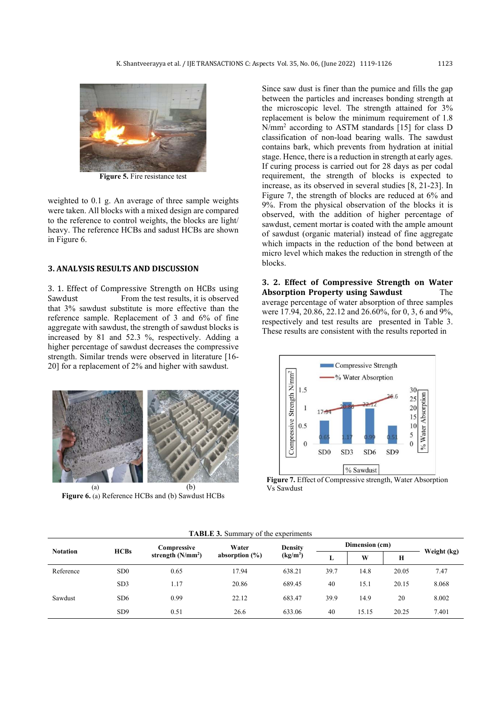

**Figure 5.** Fire resistance test

weighted to 0.1 g. An average of three sample weights were taken. All blocks with a mixed design are compared to the reference to control weights, the blocks are light/ heavy. The reference HCBs and sadust HCBs are shown in Figure 6.

# **3. ANALYSIS RESULTS AND DISCUSSION**

3. 1. Effect of Compressive Strength on HCBs using Sawdust From the test results, it is observed that 3% sawdust substitute is more effective than the reference sample. Replacement of 3 and 6% of fine aggregate with sawdust, the strength of sawdust blocks is increased by 81 and 52.3 %, respectively. Adding a higher percentage of sawdust decreases the compressive strength. Similar trends were observed in literature [16- 20] for a replacement of 2% and higher with sawdust.



**Figure 6.** (a) Reference HCBs and (b) Sawdust HCBs

Since saw dust is finer than the pumice and fills the gap between the particles and increases bonding strength at the microscopic level. The strength attained for 3% replacement is below the minimum requirement of 1.8 N/mm<sup>2</sup> according to ASTM standards [15] for class D classification of non-load bearing walls. The sawdust contains bark, which prevents from hydration at initial stage. Hence, there is a reduction in strength at early ages. If curing process is carried out for 28 days as per codal requirement, the strength of blocks is expected to increase, as its observed in several studies [8, 21-23]. In Figure 7, the strength of blocks are reduced at 6% and 9%. From the physical observation of the blocks it is observed, with the addition of higher percentage of sawdust, cement mortar is coated with the ample amount of sawdust (organic material) instead of fine aggregate which impacts in the reduction of the bond between at micro level which makes the reduction in strength of the blocks.

**3. 2. Effect of Compressive Strength on Water Absorption Property using Sawdust** The average percentage of water absorption of three samples were 17.94, 20.86, 22.12 and 26.60%, for 0, 3, 6 and 9%, respectively and test results are presented in Table 3. These results are consistent with the results reported in



**Figure 7.** Effect of Compressive strength, Water Absorption Vs Sawdust

| <b>Notation</b> |                 | Compressive<br>strength $(N/mm2)$ | Water<br>absorption $(\% )$ | <b>Density</b><br>(kg/m <sup>3</sup> ) | Dimension (cm) |       |       |             |  |  |
|-----------------|-----------------|-----------------------------------|-----------------------------|----------------------------------------|----------------|-------|-------|-------------|--|--|
|                 | <b>HCBs</b>     |                                   |                             |                                        |                | W     | H     | Weight (kg) |  |  |
| Reference       | SD <sub>0</sub> | 0.65                              | 17.94                       | 638.21                                 | 39.7           | 14.8  | 20.05 | 7.47        |  |  |
|                 | SD <sub>3</sub> | 1.17                              | 20.86                       | 689.45                                 | 40             | 15.1  | 20.15 | 8.068       |  |  |
| Sawdust         | SD <sub>6</sub> | 0.99                              | 22.12                       | 683.47                                 | 39.9           | 14.9  | 20    | 8.002       |  |  |
|                 | SD <sub>9</sub> | 0.51                              | 26.6                        | 633.06                                 | 40             | 15.15 | 20.25 | 7.401       |  |  |

**TABLE 3.** Summary of the experiments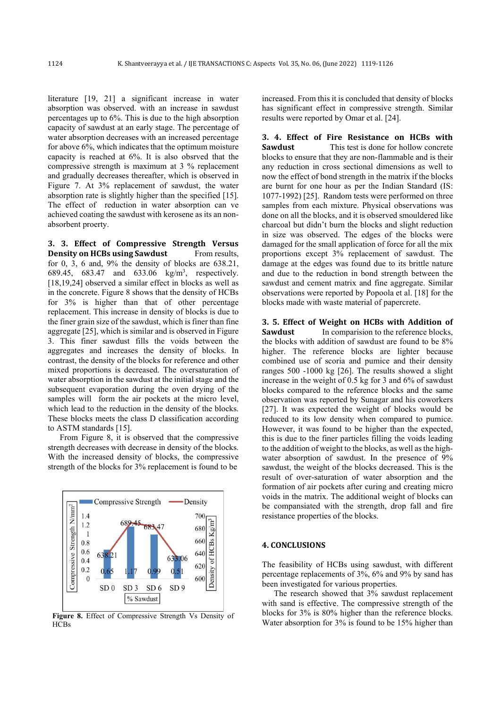literature [19, 21] a significant increase in water absorption was observed. with an increase in sawdust percentages up to 6%. This is due to the high absorption capacity of sawdust at an early stage. The percentage of water absorption decreases with an increased percentage for above 6%, which indicates that the optimum moisture capacity is reached at 6%. It is also obsrved that the compressive strength is maximum at 3 % replacement and gradually decreases thereafter, which is observed in Figure 7. At 3% replacement of sawdust, the water absorption rate is slightly higher than the specified [15]. The effect of reduction in water absorption can ve achieved coating the sawdust with kerosene as its an nonabsorbent proerty.

**3. 3. Effect of Compressive Strength Versus Density on HCBs using Sawdust** From results, for 0, 3, 6 and, 9% the density of blocks are 638.21, 689.45, 683.47 and 633.06 kg/m<sup>3</sup> , respectively. [18,19,24] observed a similar effect in blocks as well as in the concrete. Figure 8 shows that the density of HCBs for 3% is higher than that of other percentage replacement. This increase in density of blocks is due to the finer grain size of the sawdust, which is finer than fine aggregate [25], which is similar and is observed in Figure 3. This finer sawdust fills the voids between the aggregates and increases the density of blocks. In contrast, the density of the blocks for reference and other mixed proportions is decreased. The oversaturation of water absorption in the sawdust at the initial stage and the subsequent evaporation during the oven drying of the samples will form the air pockets at the micro level, which lead to the reduction in the density of the blocks. These blocks meets the class D classification according to ASTM standards [15].

From Figure 8, it is observed that the compressive strength decreases with decrease in density of the blocks. With the increased density of blocks, the compressive strength of the blocks for 3% replacement is found to be



**Figure 8.** Effect of Compressive Strength Vs Density of **HCBs** 

increased. From this it is concluded that density of blocks has significant effect in compressive strength. Similar results were reported by Omar et al. [24].

**3. 4. Effect of Fire Resistance on HCBs with Sawdust** This test is done for hollow concrete blocks to ensure that they are non-flammable and is their any reduction in cross sectional dimensions as well to now the effect of bond strength in the matrix if the blocks are burnt for one hour as per the Indian Standard (IS: 1077-1992) [25]. Random tests were performed on three samples from each mixture. Physical observations was done on all the blocks, and it is observed smouldered like charcoal but didn't burn the blocks and slight reduction in size was observed. The edges of the blocks were damaged for the small application of force for all the mix proportions except 3% replacement of sawdust. The damage at the edges was found due to its brittle nature and due to the reduction in bond strength between the sawdust and cement matrix and fine aggregate. Similar observations were reported by Popoola et al. [18] for the blocks made with waste material of papercrete.

**3. 5. Effect of Weight on HCBs with Addition of Sawdust** In comparision to the reference blocks, the blocks with addition of sawdust are found to be 8% higher. The reference blocks are lighter because combined use of scoria and pumice and their density ranges 500 -1000 kg [26]. The results showed a slight increase in the weight of 0.5 kg for 3 and 6% of sawdust blocks compared to the reference blocks and the same observation was reported by Sunagar and his coworkers [27]. It was expected the weight of blocks would be reduced to its low density when compared to pumice. However, it was found to be higher than the expected, this is due to the finer particles filling the voids leading to the addition of weight to the blocks, as well as the highwater absorption of sawdust. In the presence of 9% sawdust, the weight of the blocks decreased. This is the result of over-saturation of water absorption and the formation of air pockets after curing and creating micro voids in the matrix. The additional weight of blocks can be compansiated with the strength, drop fall and fire resistance properties of the blocks.

# **4. CONCLUSIONS**

The feasibility of HCBs using sawdust, with different percentage replacements of 3%, 6% and 9% by sand has been investigated for various properties.

The research showed that 3% sawdust replacement with sand is effective. The compressive strength of the blocks for 3% is 80% higher than the reference blocks. Water absorption for 3% is found to be 15% higher than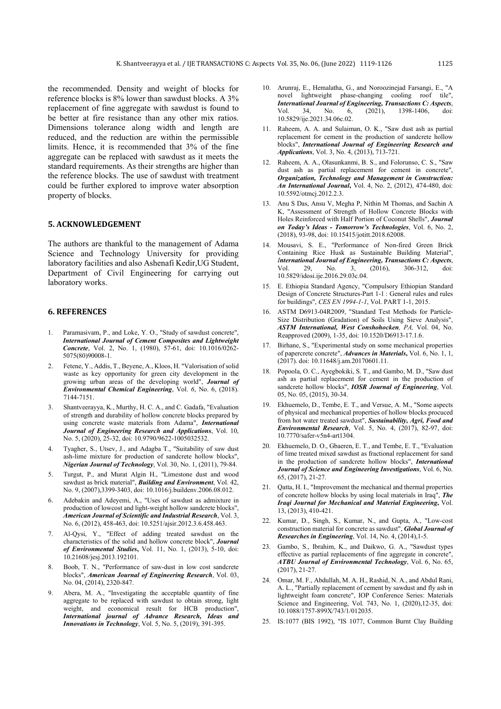the recommended. Density and weight of blocks for reference blocks is 8% lower than sawdust blocks. A 3% replacement of fine aggregate with sawdust is found to be better at fire resistance than any other mix ratios. Dimensions tolerance along width and length are reduced, and the reduction are within the permissible limits. Hence, it is recommended that 3% of the fine aggregate can be replaced with sawdust as it meets the standard requirements. As their strengths are higher than the reference blocks. The use of sawdust with treatment could be further explored to improve water absorption property of blocks.

## **5. ACKNOWLEDGEMENT**

The authors are thankful to the management of Adama Science and Technology University for providing laboratory facilities and also Ashenafi Kedir,UG Student, Department of Civil Engineering for carrying out laboratory works.

## **6. REFERENCES**

- 1. Paramasivam, P., and Loke, Y. O., "Study of sawdust concrete", *International Journal of Cement Composites and Lightweight Concrete*, Vol. 2, No. 1, (1980), 57-61, doi: 10.1016/0262- 5075(80)90008-1.
- 2. Fetene, Y., Addis, T., Beyene, A., Kloos, H. "Valorisation of solid waste as key opportunity for green city development in the growing urban areas of the developing world", *Journal of Environmental Chemical Engineering*, Vol. *6*, No. 6, (2018). 7144-7151.
- 3. Shantveerayya, K., Murthy, H. C. A., and C. Gadafa, "Evaluation of strength and durability of hollow concrete blocks prepared by using concrete waste materials from Adama", *International Journal of Engineering Research and Applications*, Vol. 10, No. 5, (2020), 25-32, doi: 10.9790/9622-1005032532.
- 4. Tyagher, S., Utsev, J., and Adagba T., "Suitability of saw dust ash-lime mixture for production of sandcrete hollow blocks", *Nigerian Journal of Technology*, Vol. 30, No. 1, (2011), 79-84.
- 5. Turgut, P., and Murat Algin H., "Limestone dust and wood sawdust as brick material", *Building and Environment*, Vol. 42, No. 9, (2007),3399-3403, doi: 10.1016/j.buildenv.2006.08.012.
- 6. Adebakin and Adeyemi, A., "Uses of sawdust as admixture in production of lowcost and light-weight hollow sandcrete blocks", *American Journal of Scientific and Industrial Research*, Vol. 3, No. 6, (2012), 458-463, doi: 10.5251/ajsir.2012.3.6.458.463.
- Al-Qysi, Y., "Effect of adding treated sawdust on the characteristics of the solid and hollow concrete block", *Journal of Environmental Studies***,** Vol. 11, No. 1, (2013), 5-10, doi: 10.21608/jesj.2013.192101.
- 8. Boob, T. N., "Performance of saw-dust in low cost sandcrete blocks", *American Journal of Engineering Research*, Vol. 03, No. 04, (2014), 2320-847.
- Abera, M. A., "Investigating the acceptable quantity of fine aggregate to be replaced with sawdust to obtain strong, light weight, and economical result for HCB production", *International journal of Advance Research, Ideas and Innovations in Technology*, Vol. 5, No. 5, (2019), 391-395.
- 10. Arunraj, E., Hemalatha, G., and Noroozinejad Farsangi, E., "A novel lightweight phase-changing cooling roof tile", *International Journal of Engineering, Transactions C: Aspects*, Vol. 34, No. 6, (2021), 1398-1406, 10.5829/ije.2021.34.06c.02.
- 11. Raheem, A. A. and Sulaiman, O. K., "Saw dust ash as partial replacement for cement in the production of sandcrete hollow blocks", *International Journal of Engineering Research and Applications*, Vol. 3, No. 4, (2013), 713-721.
- 12. Raheem, A. A., Olasunkanmi, B. S., and Folorunso, C. S., "Saw dust ash as partial replacement for cement in concrete", *Organization, Technology and Management in Construction: An International Journal***,** Vol. 4, No. 2, (2012), 474-480, doi: 10.5592/otmcj.2012.2.3.
- 13. Anu S Das, Ansu V, Megha P, Nithin M Thomas, and Sachin A K, "Assessment of Strength of Hollow Concrete Blocks with Holes Reinforced with Half Portion of Coconut Shells", *Journal on Today's Ideas - Tomorrow's Technologies*, Vol. 6, No. 2, (2018), 93-98, doi: 10.15415/jotitt.2018.62008.
- 14. Mousavi, S. E., "Performance of Non-fired Green Brick Containing Rice Husk as Sustainable Building Material", *International Journal of Engineering, Transactions C: Aspects*, Vol. 29, No. 3, (2016), 306-312, doi: 10.5829/idosi.ije.2016.29.03c.04.
- 15. E. Ethiopia Standard Agency, "Compulsory Ethiopian Standard Design of Concrete Structures-Part 1-1 : General rules and rules for buildings", *CES EN 1994-1-1*, Vol. PART 1-1, 2015.
- 16. ASTM D6913-04R2009, "Standard Test Methods for Particle-Size Distribution (Gradation) of Soils Using Sieve Analysis", *ASTM International, West Conshohocken, PA,* Vol. 04, No. Reapproved (2009), 1-35, doi: 10.1520/D6913-17.1.6.
- 17. Birhane, S., "Experimental study on some mechanical properties of papercrete concrete", *Advances in Materials***,** Vol. 6, No. 1, 1, (2017). doi: 10.11648/j.am.20170601.11.
- 18. Popoola, O. C., Ayegbokiki, S. T., and Gambo, M. D., "Saw dust ash as partial replacement for cement in the production of sandcrete hollow blocks", *IOSR Journal of Engineering*, Vol. 05, No. 05, (2015), 30-34.
- 19. Ekhuemelo, D., Tembe, E. T., and Versue, A. M., "Some aspects of physical and mechanical properties of hollow blocks procuced from hot water treated sawdust", *Sustainability, Agri, Food and Environmental Research*, Vol. 5, No. 4, (2017), 82-97, doi: 10.7770/safer-v5n4-art1304.
- 20. Ekhuemelo, D. O., Gbaeren, E. T., and Tembe, E. T., "Evaluation of lime treated mixed sawdust as fractional replacement for sand in the production of sandcrete hollow blocks", *International Journal of Science and Engineering Investigations*, Vol. 6, No. 65, (2017), 21-27.
- 21. Qatta, H. I., "Improvement the mechanical and thermal properties of concrete hollow blocks by using local materials in Iraq", *The Iraqi Journal for Mechanical and Material Engineering***,** Vol. 13, (2013), 410-421.
- 22. Kumar, D., Singh, S., Kumar, N., and Gupta, A., "Low-cost construction material for concrete as sawdust", *Global Journal of Researches in Engineering*, Vol. 14, No. 4, (2014),1-5.
- 23. Gambo, S., Ibrahim, K., and Daikwo, G. A., "Sawdust types effective as partial replacements of fine aggregate in concrete", *ATBU Journal of Environmental Technology*, Vol. 6, No. 65, (2017), 21-27.
- 24. Omar, M. F., Abdullah, M. A. H., Rashid, N. A., and Abdul Rani, A. L., "Partially replacement of cement by sawdust and fly ash in lightweight foam concrete", IOP Conference Series: Materials Science and Engineering, Vol. 743, No. 1, (2020),12-35, doi: 10.1088/1757-899X/743/1/012035.
- 25. IS:1077 (BIS 1992), "IS 1077, Common Burnt Clay Building